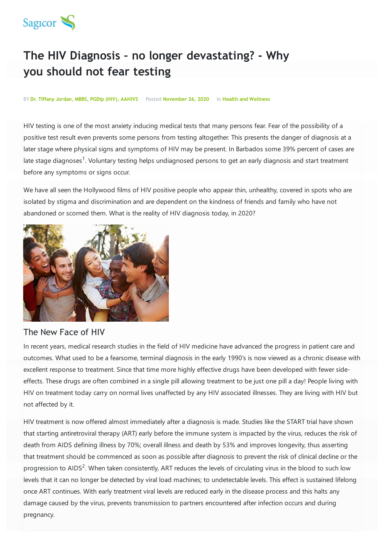

# **The HIV Diagnosis – no longer devastating? - Why you should not fear testing**

#### BY **Dr. Tiffany Jordan, MBBS, PGDip (HIV), AAHIVS** Posted **November 26, 2020** In **Health and Wellness**

HIV testing is one of the most anxiety inducing medical tests that many persons fear. Fear of the possibility of a positive test result even prevents some persons from testing altogether. This presents the danger of diagnosis at a later stage where physical signs and symptoms of HIV may be present. In Barbados some 39% percent of cases are late stage diagnoses<sup>1</sup>. Voluntary testing helps undiagnosed persons to get an early diagnosis and start treatment before any symptoms or signs occur.

We have all seen the Hollywood films of HIV positive people who appear thin, unhealthy, covered in spots who are isolated by stigma and discrimination and are dependent on the kindness of friends and family who have not abandoned or scorned them. What is the reality of HIV diagnosis today, in 2020?



### The New Face of HIV

In recent years, medical research studies in the field of HIV medicine have advanced the progress in patient care and outcomes. What used to be a fearsome, terminal diagnosis in the early 1990's is now viewed as a chronic disease with excellent response to treatment. Since that time more highly effective drugs have been developed with fewer sideeffects. These drugs are often combined in a single pill allowing treatment to be just one pill a day! People living with HIV on treatment today carry on normal lives unaffected by any HIV associated illnesses. They are living with HIV but not affected by it.

HIV treatment is now offered almost immediately after a diagnosis is made. Studies like the START trial have shown that starting antiretroviral therapy (ART) early before the immune system is impacted by the virus, reduces the risk of death from AIDS defining illness by 70%; overall illness and death by 53% and improves longevity, thus asserting that treatment should be commenced as soon as possible after diagnosis to prevent the risk of clinical decline or the progression to AIDS<sup>2</sup>. When taken consistently, ART reduces the levels of circulating virus in the blood to such low levels that it can no longer be detected by viral load machines; to undetectable levels. This effect is sustained lifelong once ART continues. With early treatment viral levels are reduced early in the disease process and this halts any damage caused by the virus, prevents transmission to partners encountered after infection occurs and during pregnancy.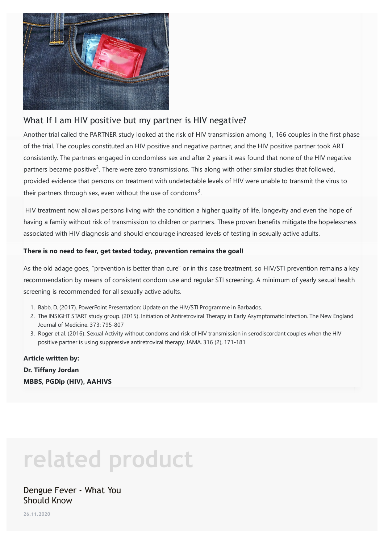

# What If I am HIV positive but my partner is HIV negative?

Another trial called the PARTNER study looked at the risk of HIV transmission among 1, 166 couples in the first phase of the trial. The couples constituted an HIV positive and negative partner, and the HIV positive partner took ART consistently. The partners engaged in condomless sex and after 2 years it was found that none of the HIV negative partners became positive<sup>3</sup>. There were zero transmissions. This along with other similar studies that followed, provided evidence that persons on treatment with undetectable levels of HIV were unable to transmit the virus to their partners through sex, even without the use of condoms<sup>3</sup>.

HIV treatment now allows persons living with the condition a higher quality of life, longevity and even the hope of having a family without risk of transmission to children or partners. These proven benefits mitigate the hopelessness associated with HIV diagnosis and should encourage increased levels of testing in sexually active adults.

#### **There is no need to fear, get tested today, prevention remains the goal!**

As the old adage goes, "prevention is better than cure" or in this case treatment, so HIV/STI prevention remains a key recommendation by means of consistent condom use and regular STI screening. A minimum of yearly sexual health screening is recommended for all sexually active adults.

- 1. Babb, D. (2017). PowerPoint Presentation: Update on the HIV/STI Programme in Barbados.
- 2. The INSIGHT START study group. (2015). Initiation of Antiretroviral Therapy in Early Asymptomatic Infection. The New England Journal of Medicine. 373: 795-807
- 3. Roger et al. (2016). Sexual Activity without condoms and risk of HIV transmission in serodiscordant couples when the HIV positive partner is using suppressive antiretroviral therapy. JAMA. 316 (2), 171-181

**Article written by: Dr. Tiffany Jordan MBBS, PGDip (HIV), AAHIVS**

# **related product**

## Dengue Fever - What You Should Know